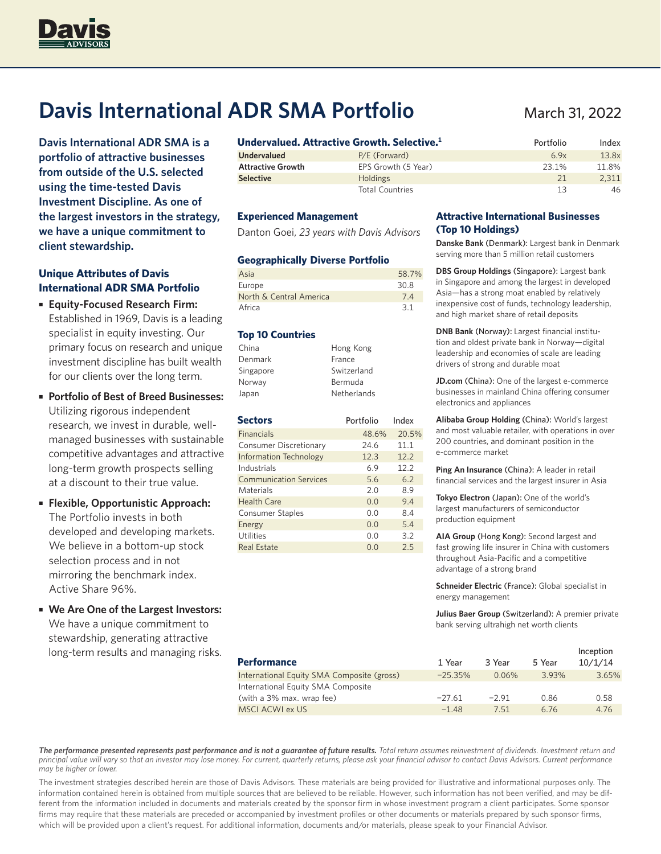

# **Davis International ADR SMA Portfolio**

**Davis International ADR SMA is a portfolio of attractive businesses from outside of the U.S. selected using the time-tested Davis Investment Discipline. As one of the largest investors in the strategy, we have a unique commitment to client stewardship.**

### **Unique Attributes of Davis International ADR SMA Portfolio**

- **Equity-Focused Research Firm:**  Established in 1969, Davis is a leading specialist in equity investing. Our primary focus on research and unique investment discipline has built wealth for our clients over the long term.
- **Portfolio of Best of Breed Businesses:** Utilizing rigorous independent research, we invest in durable, wellmanaged businesses with sustainable competitive advantages and attractive long-term growth prospects selling at a discount to their true value.
- **Flexible, Opportunistic Approach:**  The Portfolio invests in both developed and developing markets. We believe in a bottom-up stock selection process and in not mirroring the benchmark index. Active Share 96%.
- **We Are One of the Largest Investors:** We have a unique commitment to stewardship, generating attractive long-term results and managing risks.

| Undervalued. Attractive Growth. Selective. <del>'</del> |                        | Portfolio | Index |
|---------------------------------------------------------|------------------------|-----------|-------|
| <b>Undervalued</b>                                      | P/E (Forward)          | 6.9x      | 13.8x |
| <b>Attractive Growth</b>                                | EPS Growth (5 Year)    | 23.1%     | 11.8% |
| <b>Selective</b>                                        | <b>Holdings</b>        | 21        | 2.311 |
|                                                         | <b>Total Countries</b> | 13        | 46    |

#### **Experienced Management**

Danton Goei, *23 years with Davis Advisors*

#### **Geographically Diverse Portfolio**

| Asia                    | 58.7% |
|-------------------------|-------|
| Europe                  | 30.8  |
| North & Central America | 7.4   |
| Africa                  | 3.1   |

#### **Top 10 Countries**

| China     | Hong Kong   |
|-----------|-------------|
| Denmark   | France      |
| Singapore | Switzerland |
| Norway    | Bermuda     |
| Japan     | Netherlands |

| <b>Sectors</b>                | Portfolio | Index |
|-------------------------------|-----------|-------|
| <b>Financials</b>             | 48.6%     | 20.5% |
| Consumer Discretionary        | 24.6      | 11.1  |
| <b>Information Technology</b> | 12.3      | 12.2  |
| Industrials                   | 69        | 12.2  |
| <b>Communication Services</b> | 5.6       | 6.2   |
| Materials                     | 2.0       | 89    |
| Health Care                   | 0.0       | 9.4   |
| <b>Consumer Staples</b>       | 0.0       | 8.4   |
| Energy                        | 0.0       | 5.4   |
| <b>Utilities</b>              | 0.0       | 3.2   |
| <b>Real Estate</b>            | 0. Q      | 2.5   |

#### **Attractive International Businesses (Top 10 Holdings)**

**Danske Bank** (Denmark): Largest bank in Denmark serving more than 5 million retail customers

**DBS Group Holdings** (Singapore): Largest bank in Singapore and among the largest in developed Asia—has a strong moat enabled by relatively inexpensive cost of funds, technology leadership, and high market share of retail deposits

**DNB Bank** (Norway): Largest financial institution and oldest private bank in Norway—digital leadership and economies of scale are leading drivers of strong and durable moat

**JD.com** (China): One of the largest e-commerce businesses in mainland China offering consumer electronics and appliances

**Alibaba Group Holding** (China): World's largest and most valuable retailer, with operations in over 200 countries, and dominant position in the e-commerce market

**Ping An Insurance** (China): A leader in retail financial services and the largest insurer in Asia

**Tokyo Electron** (Japan): One of the world's largest manufacturers of semiconductor production equipment

**AIA Group** (Hong Kong): Second largest and fast growing life insurer in China with customers throughout Asia-Pacific and a competitive advantage of a strong brand

**Schneider Electric** (France): Global specialist in energy management

**Julius Baer Group** (Switzerland): A premier private bank serving ultrahigh net worth clients

| <b>Performance</b>                         | 1 Year     | 3 Year   | 5 Year | Inception<br>10/1/14 |
|--------------------------------------------|------------|----------|--------|----------------------|
| International Equity SMA Composite (gross) | $-25.35\%$ | $0.06\%$ | 3.93%  | 3.65%                |
| International Equity SMA Composite         |            |          |        |                      |
| (with a 3% max. wrap fee)                  | $-27.61$   | $-2.91$  | 0.86   | 0.58                 |
| <b>MSCI ACWI ex US</b>                     | $-1.48$    | 7.51     | 6.76   | 4.76                 |

*The performance presented represents past performance and is not a guarantee of future results. Total return assumes reinvestment of dividends. Investment return and principal value will vary so that an investor may lose money. For current, quarterly returns, please ask your financial advisor to contact Davis Advisors. Current performance may be higher or lower.*

The investment strategies described herein are those of Davis Advisors. These materials are being provided for illustrative and informational purposes only. The information contained herein is obtained from multiple sources that are believed to be reliable. However, such information has not been verified, and may be different from the information included in documents and materials created by the sponsor firm in whose investment program a client participates. Some sponsor firms may require that these materials are preceded or accompanied by investment profiles or other documents or materials prepared by such sponsor firms, which will be provided upon a client's request. For additional information, documents and/or materials, please speak to your Financial Advisor.

## March 31, 2022